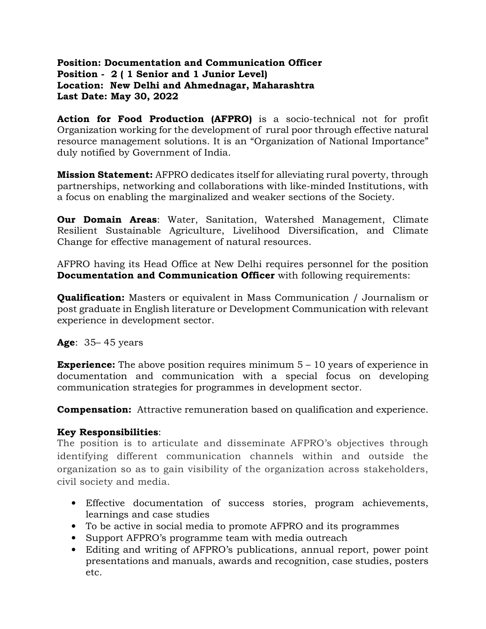### Position: Documentation and Communication Officer Position - 2 ( 1 Senior and 1 Junior Level) Location: New Delhi and Ahmednagar, Maharashtra Last Date: May 30, 2022

Action for Food Production (AFPRO) is a socio-technical not for profit Organization working for the development of rural poor through effective natural resource management solutions. It is an "Organization of National Importance" duly notified by Government of India.

**Mission Statement:** AFPRO dedicates itself for alleviating rural poverty, through partnerships, networking and collaborations with like-minded Institutions, with a focus on enabling the marginalized and weaker sections of the Society.

**Our Domain Areas:** Water, Sanitation, Watershed Management, Climate Resilient Sustainable Agriculture, Livelihood Diversification, and Climate Change for effective management of natural resources.

AFPRO having its Head Office at New Delhi requires personnel for the position Documentation and Communication Officer with following requirements:

**Qualification:** Masters or equivalent in Mass Communication / Journalism or post graduate in English literature or Development Communication with relevant experience in development sector.

**Age:** 35–45 years

**Experience:** The above position requires minimum  $5 - 10$  years of experience in documentation and communication with a special focus on developing communication strategies for programmes in development sector.

**Compensation:** Attractive remuneration based on qualification and experience.

### Key Responsibilities:

The position is to articulate and disseminate AFPRO's objectives through identifying different communication channels within and outside the organization so as to gain visibility of the organization across stakeholders, civil society and media.

- Effective documentation of success stories, program achievements, learnings and case studies
- To be active in social media to promote AFPRO and its programmes
- Support AFPRO's programme team with media outreach
- Editing and writing of AFPRO's publications, annual report, power point presentations and manuals, awards and recognition, case studies, posters etc.